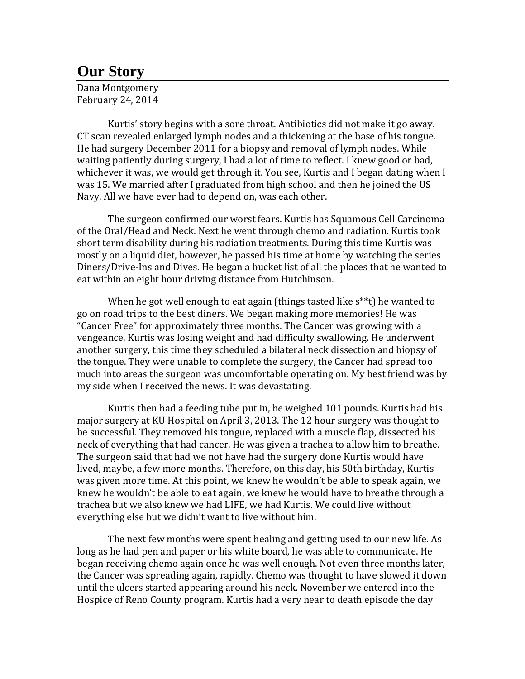## **Our Story**

Dana Montgomery February 24, 2014

Kurtis' story begins with a sore throat. Antibiotics did not make it go away. CT scan revealed enlarged lymph nodes and a thickening at the base of his tongue. He had surgery December 2011 for a biopsy and removal of lymph nodes. While waiting patiently during surgery, I had a lot of time to reflect. I knew good or bad, whichever it was, we would get through it. You see, Kurtis and I began dating when I was 15. We married after I graduated from high school and then he joined the US Navy. All we have ever had to depend on, was each other.

The surgeon confirmed our worst fears. Kurtis has Squamous Cell Carcinoma of the Oral/Head and Neck. Next he went through chemo and radiation. Kurtis took short term disability during his radiation treatments. During this time Kurtis was mostly on a liquid diet, however, he passed his time at home by watching the series Diners/Drive-Ins and Dives. He began a bucket list of all the places that he wanted to eat within an eight hour driving distance from Hutchinson.

When he got well enough to eat again (things tasted like s\*\*t) he wanted to go on road trips to the best diners. We began making more memories! He was "Cancer Free" for approximately three months. The Cancer was growing with a vengeance. Kurtis was losing weight and had difficulty swallowing. He underwent another surgery, this time they scheduled a bilateral neck dissection and biopsy of the tongue. They were unable to complete the surgery, the Cancer had spread too much into areas the surgeon was uncomfortable operating on. My best friend was by my side when I received the news. It was devastating.

Kurtis then had a feeding tube put in, he weighed 101 pounds. Kurtis had his major surgery at KU Hospital on April 3, 2013. The 12 hour surgery was thought to be successful. They removed his tongue, replaced with a muscle flap, dissected his neck of everything that had cancer. He was given a trachea to allow him to breathe. The surgeon said that had we not have had the surgery done Kurtis would have lived, maybe, a few more months. Therefore, on this day, his 50th birthday, Kurtis was given more time. At this point, we knew he wouldn't be able to speak again, we knew he wouldn't be able to eat again, we knew he would have to breathe through a trachea but we also knew we had LIFE, we had Kurtis. We could live without everything else but we didn't want to live without him.

The next few months were spent healing and getting used to our new life. As long as he had pen and paper or his white board, he was able to communicate. He began receiving chemo again once he was well enough. Not even three months later, the Cancer was spreading again, rapidly. Chemo was thought to have slowed it down until the ulcers started appearing around his neck. November we entered into the Hospice of Reno County program. Kurtis had a very near to death episode the day